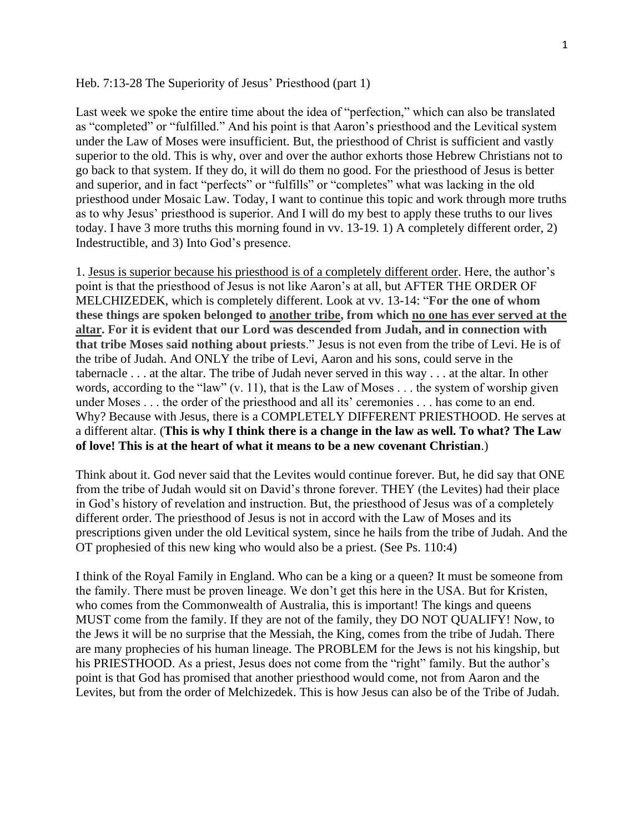## Heb. 7:13-28 The Superiority of Jesus' Priesthood (part 1)

Last week we spoke the entire time about the idea of "perfection," which can also be translated as "completed" or "fulfilled." And his point is that Aaron's priesthood and the Levitical system under the Law of Moses were insufficient. But, the priesthood of Christ is sufficient and vastly superior to the old. This is why, over and over the author exhorts those Hebrew Christians not to go back to that system. If they do, it will do them no good. For the priesthood of Jesus is better and superior, and in fact "perfects" or "fulfills" or "completes" what was lacking in the old priesthood under Mosaic Law. Today, I want to continue this topic and work through more truths as to why Jesus' priesthood is superior. And I will do my best to apply these truths to our lives today. I have 3 more truths this morning found in vv. 13-19. 1) A completely different order, 2) Indestructible, and 3) Into God's presence.

1. Jesus is superior because his priesthood is of a completely different order. Here, the author's point is that the priesthood of Jesus is not like Aaron's at all, but AFTER THE ORDER OF MELCHIZEDEK, which is completely different. Look at vv. 13-14: "**For the one of whom these things are spoken belonged to another tribe, from which no one has ever served at the altar. For it is evident that our Lord was descended from Judah, and in connection with that tribe Moses said nothing about priests**." Jesus is not even from the tribe of Levi. He is of the tribe of Judah. And ONLY the tribe of Levi, Aaron and his sons, could serve in the tabernacle . . . at the altar. The tribe of Judah never served in this way . . . at the altar. In other words, according to the "law" (v. 11), that is the Law of Moses . . . the system of worship given under Moses . . . the order of the priesthood and all its' ceremonies . . . has come to an end. Why? Because with Jesus, there is a COMPLETELY DIFFERENT PRIESTHOOD. He serves at a different altar. (**This is why I think there is a change in the law as well. To what? The Law of love! This is at the heart of what it means to be a new covenant Christian**.)

Think about it. God never said that the Levites would continue forever. But, he did say that ONE from the tribe of Judah would sit on David's throne forever. THEY (the Levites) had their place in God's history of revelation and instruction. But, the priesthood of Jesus was of a completely different order. The priesthood of Jesus is not in accord with the Law of Moses and its prescriptions given under the old Levitical system, since he hails from the tribe of Judah. And the OT prophesied of this new king who would also be a priest. (See Ps. 110:4)

I think of the Royal Family in England. Who can be a king or a queen? It must be someone from the family. There must be proven lineage. We don't get this here in the USA. But for Kristen, who comes from the Commonwealth of Australia, this is important! The kings and queens MUST come from the family. If they are not of the family, they DO NOT QUALIFY! Now, to the Jews it will be no surprise that the Messiah, the King, comes from the tribe of Judah. There are many prophecies of his human lineage. The PROBLEM for the Jews is not his kingship, but his PRIESTHOOD. As a priest, Jesus does not come from the "right" family. But the author's point is that God has promised that another priesthood would come, not from Aaron and the Levites, but from the order of Melchizedek. This is how Jesus can also be of the Tribe of Judah.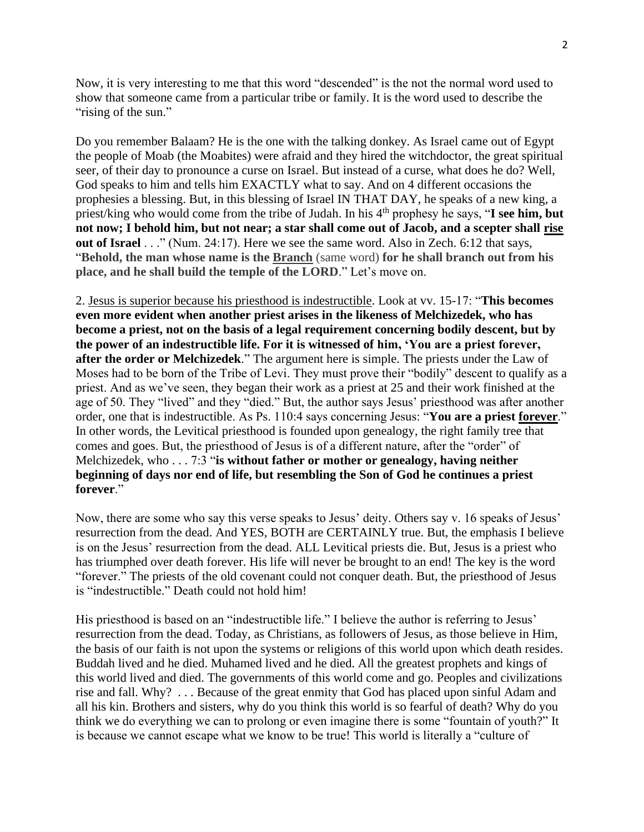Now, it is very interesting to me that this word "descended" is the not the normal word used to show that someone came from a particular tribe or family. It is the word used to describe the "rising of the sun."

Do you remember Balaam? He is the one with the talking donkey. As Israel came out of Egypt the people of Moab (the Moabites) were afraid and they hired the witchdoctor, the great spiritual seer, of their day to pronounce a curse on Israel. But instead of a curse, what does he do? Well, God speaks to him and tells him EXACTLY what to say. And on 4 different occasions the prophesies a blessing. But, in this blessing of Israel IN THAT DAY, he speaks of a new king, a priest/king who would come from the tribe of Judah. In his 4<sup>th</sup> prophesy he says, "**I see him, but not now; I behold him, but not near; a star shall come out of Jacob, and a scepter shall rise out of Israel** . . ." (Num. 24:17). Here we see the same word. Also in Zech. 6:12 that says, "**Behold, the man whose name is the Branch** (same word) **for he shall branch out from his place, and he shall build the temple of the LORD**." Let's move on.

2. Jesus is superior because his priesthood is indestructible. Look at vv. 15-17: "**This becomes even more evident when another priest arises in the likeness of Melchizedek, who has become a priest, not on the basis of a legal requirement concerning bodily descent, but by the power of an indestructible life. For it is witnessed of him, 'You are a priest forever, after the order or Melchizedek**." The argument here is simple. The priests under the Law of Moses had to be born of the Tribe of Levi. They must prove their "bodily" descent to qualify as a priest. And as we've seen, they began their work as a priest at 25 and their work finished at the age of 50. They "lived" and they "died." But, the author says Jesus' priesthood was after another order, one that is indestructible. As Ps. 110:4 says concerning Jesus: "**You are a priest forever**." In other words, the Levitical priesthood is founded upon genealogy, the right family tree that comes and goes. But, the priesthood of Jesus is of a different nature, after the "order" of Melchizedek, who . . . 7:3 "**is without father or mother or genealogy, having neither beginning of days nor end of life, but resembling the Son of God he continues a priest forever**."

Now, there are some who say this verse speaks to Jesus' deity. Others say v. 16 speaks of Jesus' resurrection from the dead. And YES, BOTH are CERTAINLY true. But, the emphasis I believe is on the Jesus' resurrection from the dead. ALL Levitical priests die. But, Jesus is a priest who has triumphed over death forever. His life will never be brought to an end! The key is the word "forever." The priests of the old covenant could not conquer death. But, the priesthood of Jesus is "indestructible." Death could not hold him!

His priesthood is based on an "indestructible life." I believe the author is referring to Jesus' resurrection from the dead. Today, as Christians, as followers of Jesus, as those believe in Him, the basis of our faith is not upon the systems or religions of this world upon which death resides. Buddah lived and he died. Muhamed lived and he died. All the greatest prophets and kings of this world lived and died. The governments of this world come and go. Peoples and civilizations rise and fall. Why? . . . Because of the great enmity that God has placed upon sinful Adam and all his kin. Brothers and sisters, why do you think this world is so fearful of death? Why do you think we do everything we can to prolong or even imagine there is some "fountain of youth?" It is because we cannot escape what we know to be true! This world is literally a "culture of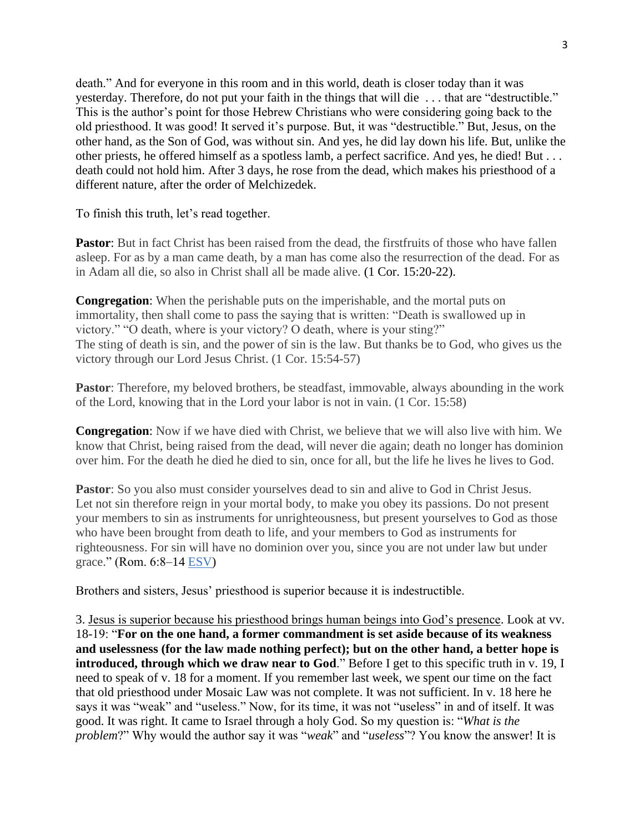death." And for everyone in this room and in this world, death is closer today than it was yesterday. Therefore, do not put your faith in the things that will die . . . that are "destructible." This is the author's point for those Hebrew Christians who were considering going back to the old priesthood. It was good! It served it's purpose. But, it was "destructible." But, Jesus, on the other hand, as the Son of God, was without sin. And yes, he did lay down his life. But, unlike the other priests, he offered himself as a spotless lamb, a perfect sacrifice. And yes, he died! But . . . death could not hold him. After 3 days, he rose from the dead, which makes his priesthood of a different nature, after the order of Melchizedek.

To finish this truth, let's read together.

**Pastor:** But in fact Christ has been raised from the dead, the first fruits of those who have fallen asleep. For as by a man came death, by a man has come also the resurrection of the dead. For as in Adam all die, so also in Christ shall all be made alive. (1 Cor. 15:20-22).

**Congregation**: When the perishable puts on the imperishable, and the mortal puts on immortality, then shall come to pass the saying that is written: "Death is swallowed up in victory." "O death, where is your victory? O death, where is your sting?" The sting of death is sin, and the power of sin is the law. But thanks be to God, who gives us the victory through our Lord Jesus Christ. (1 Cor. 15:54-57)

**Pastor**: Therefore, my beloved brothers, be steadfast, immovable, always abounding in the work of the Lord, knowing that in the Lord your labor is not in vain. (1 Cor. 15:58)

**Congregation**: Now if we have died with Christ, we believe that we will also live with him. We know that Christ, being raised from the dead, will never die again; death no longer has dominion over him. For the death he died he died to sin, once for all, but the life he lives he lives to God.

**Pastor**: So you also must consider yourselves dead to sin and alive to God in Christ Jesus. Let not sin therefore reign in your mortal body, to make you obey its passions. Do not present your members to sin as instruments for unrighteousness, but present yourselves to God as those who have been brought from death to life, and your members to God as instruments for righteousness. For sin will have no dominion over you, since you are not under law but under grace." (Rom. 6:8–14 ESV)

Brothers and sisters, Jesus' priesthood is superior because it is indestructible.

3. Jesus is superior because his priesthood brings human beings into God's presence. Look at vv. 18-19: "**For on the one hand, a former commandment is set aside because of its weakness and uselessness (for the law made nothing perfect); but on the other hand, a better hope is introduced, through which we draw near to God**." Before I get to this specific truth in v. 19, I need to speak of v. 18 for a moment. If you remember last week, we spent our time on the fact that old priesthood under Mosaic Law was not complete. It was not sufficient. In v. 18 here he says it was "weak" and "useless." Now, for its time, it was not "useless" in and of itself. It was good. It was right. It came to Israel through a holy God. So my question is: "*What is the problem*?" Why would the author say it was "*weak*" and "*useless*"? You know the answer! It is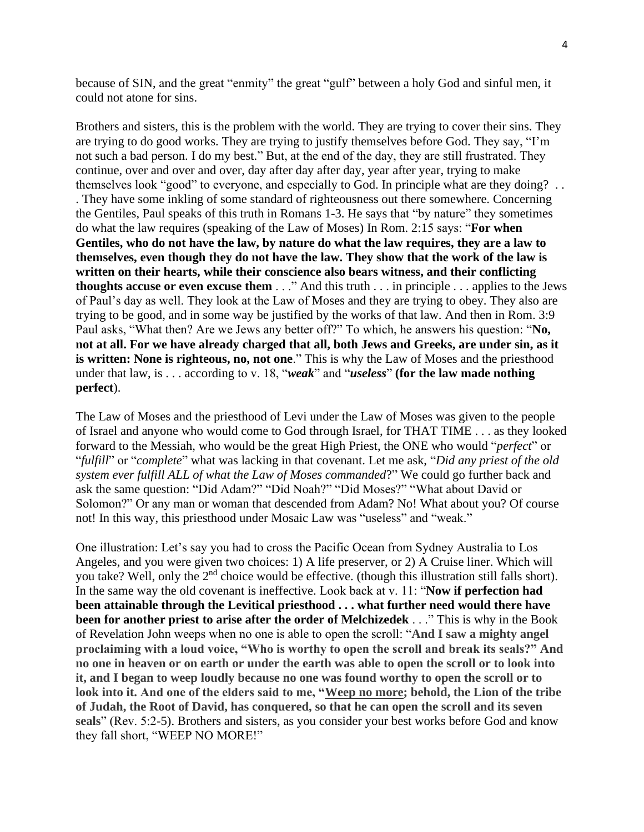because of SIN, and the great "enmity" the great "gulf" between a holy God and sinful men, it could not atone for sins.

Brothers and sisters, this is the problem with the world. They are trying to cover their sins. They are trying to do good works. They are trying to justify themselves before God. They say, "I'm not such a bad person. I do my best." But, at the end of the day, they are still frustrated. They continue, over and over and over, day after day after day, year after year, trying to make themselves look "good" to everyone, and especially to God. In principle what are they doing? . . . They have some inkling of some standard of righteousness out there somewhere. Concerning the Gentiles, Paul speaks of this truth in Romans 1-3. He says that "by nature" they sometimes do what the law requires (speaking of the Law of Moses) In Rom. 2:15 says: "**For when Gentiles, who do not have the law, by nature do what the law requires, they are a law to themselves, even though they do not have the law. They show that the work of the law is written on their hearts, while their conscience also bears witness, and their conflicting thoughts accuse or even excuse them** . . ." And this truth . . . in principle . . . applies to the Jews of Paul's day as well. They look at the Law of Moses and they are trying to obey. They also are trying to be good, and in some way be justified by the works of that law. And then in Rom. 3:9 Paul asks, "What then? Are we Jews any better off?" To which, he answers his question: "**No, not at all. For we have already charged that all, both Jews and Greeks, are under sin, as it is written: None is righteous, no, not one**." This is why the Law of Moses and the priesthood under that law, is . . . according to v. 18, "*weak*" and "*useless*" **(for the law made nothing perfect**).

The Law of Moses and the priesthood of Levi under the Law of Moses was given to the people of Israel and anyone who would come to God through Israel, for THAT TIME . . . as they looked forward to the Messiah, who would be the great High Priest, the ONE who would "*perfect*" or "*fulfill*" or "*complete*" what was lacking in that covenant. Let me ask, "*Did any priest of the old system ever fulfill ALL of what the Law of Moses commanded*?" We could go further back and ask the same question: "Did Adam?" "Did Noah?" "Did Moses?" "What about David or Solomon?" Or any man or woman that descended from Adam? No! What about you? Of course not! In this way, this priesthood under Mosaic Law was "useless" and "weak."

One illustration: Let's say you had to cross the Pacific Ocean from Sydney Australia to Los Angeles, and you were given two choices: 1) A life preserver, or 2) A Cruise liner. Which will you take? Well, only the 2<sup>nd</sup> choice would be effective. (though this illustration still falls short). In the same way the old covenant is ineffective. Look back at v. 11: "**Now if perfection had been attainable through the Levitical priesthood . . . what further need would there have been for another priest to arise after the order of Melchizedek** . . ." This is why in the Book of Revelation John weeps when no one is able to open the scroll: "**And I saw a mighty angel proclaiming with a loud voice, "Who is worthy to open the scroll and break its seals?" And no one in heaven or on earth or under the earth was able to open the scroll or to look into it, and I began to weep loudly because no one was found worthy to open the scroll or to look into it. And one of the elders said to me, "Weep no more; behold, the Lion of the tribe of Judah, the Root of David, has conquered, so that he can open the scroll and its seven seals**" (Rev. 5:2-5). Brothers and sisters, as you consider your best works before God and know they fall short, "WEEP NO MORE!"